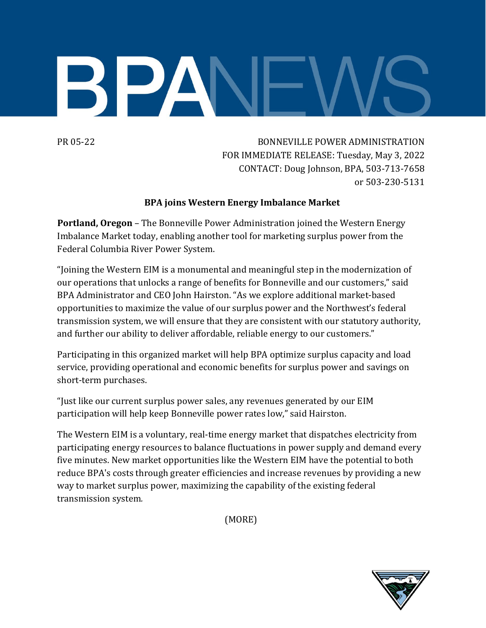

PR 05-22 BONNEVILLE POWER ADMINISTRATION FOR IMMEDIATE RELEASE: Tuesday, May 3, 2022 CONTACT: Doug Johnson, BPA, 503-713-7658 or 503-230-5131

## **BPA joins Western Energy Imbalance Market**

**Portland, Oregon** – The Bonneville Power Administration joined the Western Energy Imbalance Market today, enabling another tool for marketing surplus power from the Federal Columbia River Power System.

"Joining the Western EIM is a monumental and meaningful step in the modernization of our operations that unlocks a range of benefits for Bonneville and our customers," said BPA Administrator and CEO John Hairston. "As we explore additional market-based opportunities to maximize the value of our surplus power and the Northwest's federal transmission system, we will ensure that they are consistent with our statutory authority, and further our ability to deliver affordable, reliable energy to our customers."

Participating in this organized market will help BPA optimize surplus capacity and load service, providing operational and economic benefits for surplus power and savings on short-term purchases.

"Just like our current surplus power sales, any revenues generated by our EIM participation will help keep Bonneville power rates low," said Hairston.

The Western EIM is a voluntary, real-time energy market that dispatches electricity from participating energy resources to balance fluctuations in power supply and demand every five minutes. New market opportunities like the Western EIM have the potential to both reduce BPA's costs through greater efficiencies and increase revenues by providing a new way to market surplus power, maximizing the capability of the existing federal transmission system*.* 

(MORE)